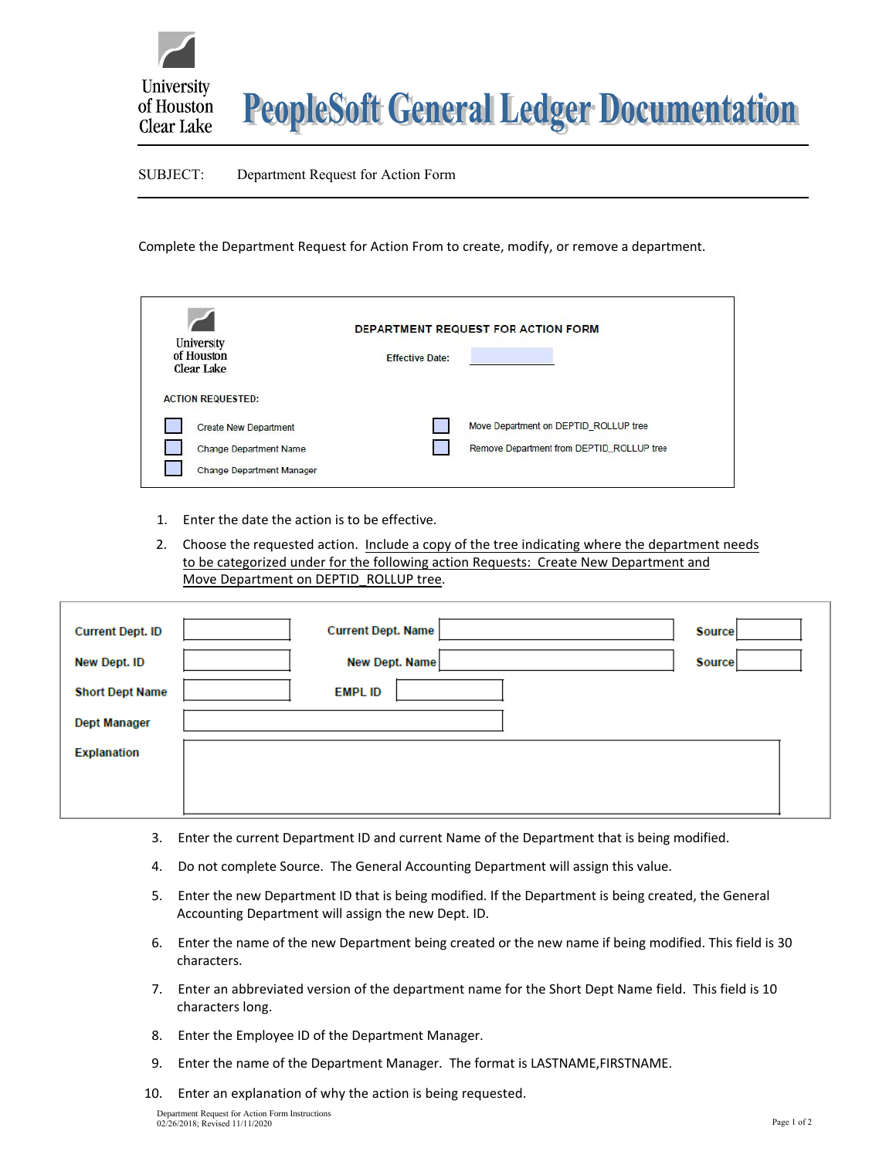

## SUBJECT: Department Request for Action Form

Complete the Department Request for Action From to create, modify, or remove a department.

| University<br>of Houston<br>Clear Lake                                                                                        | <b>Effective Date:</b> | DEPARTMENT REQUEST FOR ACTION FORM                                                 |
|-------------------------------------------------------------------------------------------------------------------------------|------------------------|------------------------------------------------------------------------------------|
| <b>ACTION REQUESTED:</b><br><b>Create New Department</b><br><b>Change Department Name</b><br><b>Change Department Manager</b> |                        | Move Department on DEPTID ROLLUP tree<br>Remove Department from DEPTID ROLLUP tree |

- 1. Enter the date the action is to be effective.
- 2. Choose the requested action. Include a copy of the tree indicating where the department needs to be categorized under for the following action Requests: Create New Department and Move Department on DEPTID\_ROLLUP tree.

| <b>Current Dept. ID</b> | <b>Current Dept. Name</b> | <b>Source</b> |
|-------------------------|---------------------------|---------------|
| New Dept. ID            | <b>New Dept. Name</b>     | <b>Source</b> |
| <b>Short Dept Name</b>  | <b>EMPL ID</b>            |               |
| <b>Dept Manager</b>     |                           |               |
| <b>Explanation</b>      |                           |               |
|                         |                           |               |
|                         |                           |               |

- 3. Enter the current Department ID and current Name of the Department that is being modified.
- 4. Do not complete Source. The General Accounting Department will assign this value.
- 5. Enter the new Department ID that is being modified. If the Department is being created, the General Accounting Department will assign the new Dept. ID.
- 6. Enter the name of the new Department being created or the new name if being modified. This field is 30 characters.
- 7. Enter an abbreviated version of the department name for the Short Dept Name field. This field is 10 characters long.
- 8. Enter the Employee ID of the Department Manager.
- 9. Enter the name of the Department Manager. The format is LASTNAME, FIRSTNAME.
- 10. Enter an explanation of why the action is being requested.